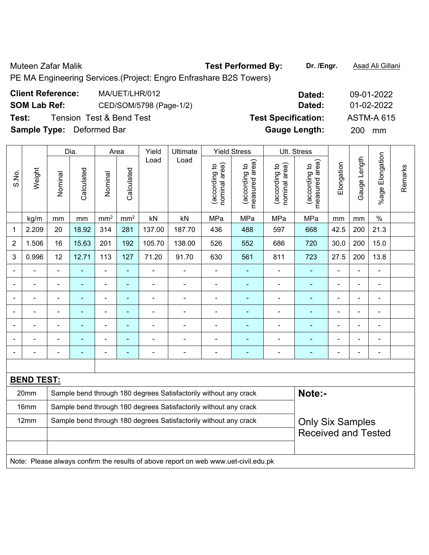Muteen Zafar Malik **Test Performed By: Dr. /Engr.** Asad Ali Gillani

PE MA Engineering Services.(Project: Engro Enfrashare B2S Towers)

| <b>Client Reference:</b>         | MA/UET/LHR/012           | Dated:                     | 09-01-2022        |
|----------------------------------|--------------------------|----------------------------|-------------------|
| <b>SOM Lab Ref:</b>              | CED/SOM/5798 (Page-1/2)  | Dated:                     | 01-02-2022        |
| Test:                            | Tension Test & Bend Test | <b>Test Specification:</b> | <b>ASTM-A 615</b> |
| <b>Sample Type:</b> Deformed Bar |                          | <b>Gauge Length:</b>       | <b>200</b><br>mm  |

|                |                   |                | Dia.           |                 | Area            | Yield                    | Ultimate                                                                            |                                | <b>Yield Stress</b>             |                                | Ult. Stress                     |                |                |                 |         |
|----------------|-------------------|----------------|----------------|-----------------|-----------------|--------------------------|-------------------------------------------------------------------------------------|--------------------------------|---------------------------------|--------------------------------|---------------------------------|----------------|----------------|-----------------|---------|
| S.No.          | Weight            | Nominal        | Calculated     | Nominal         | Calculated      | Load                     | Load                                                                                | nominal area)<br>(according to | (according to<br>measured area) | nominal area)<br>(according to | (according to<br>measured area) | Elongation     | Gauge Length   | %age Elongation | Remarks |
|                | kg/m              | mm             | mm             | mm <sup>2</sup> | mm <sup>2</sup> | kN                       | kN                                                                                  | MPa                            | MPa                             | MPa                            | MPa                             | mm             | mm             | $\%$            |         |
| 1              | 2.209             | 20             | 18.92          | 314             | 281             | 137.00                   | 187.70                                                                              | 436                            | 488                             | 597                            | 668                             | 42.5           | 200            | 21.3            |         |
| $\overline{2}$ | 1.506             | 16             | 15.63          | 201             | 192             | 105.70                   | 138.00                                                                              | 526                            | 552                             | 686                            | 720                             | 30.0           | 200            | 15.0            |         |
| 3              | 0.996             | 12             | 12.71          | 113             | 127             | 71.20                    | 91.70                                                                               | 630                            | 561                             | 811                            | 723                             | 27.5           | 200            | 13.8            |         |
| $\blacksquare$ | ÷,                | $\blacksquare$ | Ē,             | ä,              | $\blacksquare$  | $\blacksquare$           | $\blacksquare$                                                                      | $\blacksquare$                 | $\blacksquare$                  | $\overline{\phantom{0}}$       | $\blacksquare$                  | $\blacksquare$ | $\blacksquare$ | $\blacksquare$  |         |
| $\blacksquare$ | L,                |                | $\blacksquare$ | $\blacksquare$  | $\blacksquare$  | $\blacksquare$           | $\blacksquare$                                                                      | $\blacksquare$                 | ٠                               | ۰                              | $\blacksquare$                  | $\blacksquare$ | $\blacksquare$ | $\blacksquare$  |         |
|                | ÷                 |                | $\blacksquare$ | $\blacksquare$  | $\blacksquare$  | $\blacksquare$           | $\blacksquare$                                                                      | $\blacksquare$                 | ٠                               | ÷,                             | $\blacksquare$                  | Ē,             | $\blacksquare$ | $\blacksquare$  |         |
|                | ۰                 |                | ÷,             | $\blacksquare$  | $\blacksquare$  | $\overline{\phantom{0}}$ | $\blacksquare$                                                                      | $\blacksquare$                 | $\blacksquare$                  | -                              | $\blacksquare$                  | $\blacksquare$ | $\blacksquare$ | $\blacksquare$  |         |
|                |                   |                |                |                 | $\blacksquare$  |                          |                                                                                     | $\blacksquare$                 | $\blacksquare$                  |                                |                                 |                |                | $\blacksquare$  |         |
|                |                   |                |                |                 |                 |                          |                                                                                     | $\blacksquare$                 | $\blacksquare$                  | ÷                              |                                 |                |                |                 |         |
|                |                   |                | ٠              | $\blacksquare$  | ÷               | $\overline{\phantom{0}}$ | $\blacksquare$                                                                      | $\overline{a}$                 | -                               | ÷                              | $\overline{\phantom{0}}$        | $\blacksquare$ | $\blacksquare$ | $\blacksquare$  |         |
|                |                   |                |                |                 |                 |                          |                                                                                     |                                |                                 |                                |                                 |                |                |                 |         |
|                | <b>BEND TEST:</b> |                |                |                 |                 |                          |                                                                                     |                                |                                 |                                |                                 |                |                |                 |         |
|                | 20mm              |                |                |                 |                 |                          | Sample bend through 180 degrees Satisfactorily without any crack                    |                                |                                 |                                | Note:-                          |                |                |                 |         |
|                | 16mm              |                |                |                 |                 |                          | Sample bend through 180 degrees Satisfactorily without any crack                    |                                |                                 |                                |                                 |                |                |                 |         |
|                | 12mm              |                |                |                 |                 |                          | Sample bend through 180 degrees Satisfactorily without any crack                    |                                |                                 |                                | <b>Only Six Samples</b>         |                |                |                 |         |
|                |                   |                |                |                 |                 |                          |                                                                                     |                                |                                 |                                | <b>Received and Tested</b>      |                |                |                 |         |
|                |                   |                |                |                 |                 |                          |                                                                                     |                                |                                 |                                |                                 |                |                |                 |         |
|                |                   |                |                |                 |                 |                          | Note: Please always confirm the results of above report on web www.uet-civil.edu.pk |                                |                                 |                                |                                 |                |                |                 |         |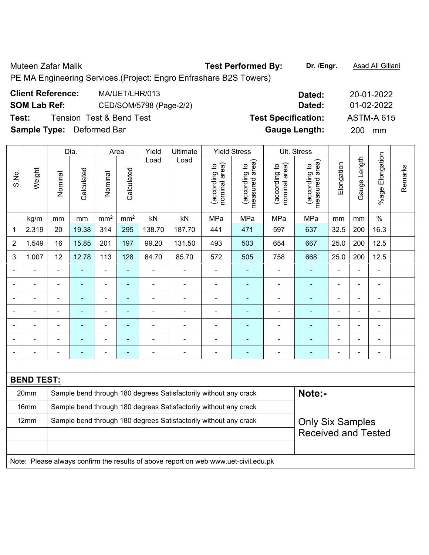## Muteen Zafar Malik **Test Performed By: Dr. /Engr.** Asad Ali Gillani

PE MA Engineering Services.(Project: Engro Enfrashare B2S Towers)

| <b>Client Reference:</b>         | MA/UET/LHR/013                      | Dated:                     | 20-01-2022        |
|----------------------------------|-------------------------------------|----------------------------|-------------------|
| <b>SOM Lab Ref:</b>              | CED/SOM/5798 (Page-2/2)             | Dated:                     | 01-02-2022        |
| Test:                            | <b>Tension Test &amp; Bend Test</b> | <b>Test Specification:</b> | <b>ASTM-A 615</b> |
| <b>Sample Type:</b> Deformed Bar |                                     | <b>Gauge Length:</b>       | <b>200</b><br>mm  |

|                |                   |                                                                  | Dia.           |                          | Area                     | Yield          | Ultimate                                                                            |                                | <b>Yield Stress</b>               |                                | Ult. Stress                     |                |                |                      |         |  |  |
|----------------|-------------------|------------------------------------------------------------------|----------------|--------------------------|--------------------------|----------------|-------------------------------------------------------------------------------------|--------------------------------|-----------------------------------|--------------------------------|---------------------------------|----------------|----------------|----------------------|---------|--|--|
| S.No.          | Weight            | Nominal                                                          | Calculated     | Nominal                  | Calculated               | Load           | Load                                                                                | nominal area)<br>(according to | (according to  <br>measured area) | nominal area)<br>(according to | (according to<br>measured area) | Elongation     | Gauge Length   | Elongation<br>%age I | Remarks |  |  |
|                | kg/m              | mm                                                               | mm             | mm <sup>2</sup>          | mm <sup>2</sup>          | kN             | kN                                                                                  | MPa                            | MPa                               | MPa                            | MPa                             | mm             | mm             | $\%$                 |         |  |  |
| $\mathbf 1$    | 2.319             | 20                                                               | 19.38          | 314                      | 295                      | 138.70         | 187.70                                                                              | 441                            | 471                               | 597                            | 637                             | 32.5           | 200            | 16.3                 |         |  |  |
| $\overline{2}$ | 1.549             | 16                                                               | 15.85          | 201                      | 197                      | 99.20          | 131.50                                                                              | 493                            | 503                               | 654                            | 667                             | 25.0           | 200            | 12.5                 |         |  |  |
| 3              | 1.007             | 12                                                               | 12.78          | 113                      | 128                      | 64.70          | 85.70                                                                               | 572                            | 505                               | 758                            | 668                             | 25.0           | 200            | 12.5                 |         |  |  |
|                |                   | ä,                                                               | ÷,             | $\blacksquare$           | $\blacksquare$           | $\blacksquare$ | $\blacksquare$                                                                      | ÷,                             | ٠                                 | ÷,                             | $\blacksquare$                  | $\blacksquare$ | L.             | $\blacksquare$       |         |  |  |
|                | ÷                 | $\blacksquare$                                                   | $\blacksquare$ | $\blacksquare$           | $\blacksquare$           | $\blacksquare$ | $\blacksquare$                                                                      | $\blacksquare$                 | $\blacksquare$                    | ÷,                             | $\blacksquare$                  | $\blacksquare$ | $\blacksquare$ | $\blacksquare$       |         |  |  |
|                | ÷                 |                                                                  | $\blacksquare$ | ÷,                       | $\blacksquare$           | ÷              |                                                                                     | $\blacksquare$                 | ÷                                 | $\blacksquare$                 | $\blacksquare$                  | L,             |                | $\blacksquare$       |         |  |  |
|                |                   |                                                                  |                | ۰                        | $\blacksquare$           |                |                                                                                     |                                | ۰                                 | ۰                              | ٠                               |                |                | $\blacksquare$       |         |  |  |
|                |                   |                                                                  |                | Ē,                       | $\blacksquare$           |                |                                                                                     |                                |                                   |                                |                                 | $\blacksquare$ |                | $\blacksquare$       |         |  |  |
|                |                   |                                                                  |                | $\blacksquare$           | ä,                       |                |                                                                                     |                                | $\overline{\phantom{0}}$          |                                | $\blacksquare$                  | ä,             |                | $\blacksquare$       |         |  |  |
|                |                   |                                                                  | $\blacksquare$ | $\overline{\phantom{0}}$ | $\overline{\phantom{a}}$ | ۰              | $\blacksquare$                                                                      | $\overline{\phantom{0}}$       | $\overline{\phantom{0}}$          | $\qquad \qquad \blacksquare$   | $\blacksquare$                  | ۰              |                | $\blacksquare$       |         |  |  |
|                |                   |                                                                  |                |                          |                          |                |                                                                                     |                                |                                   |                                |                                 |                |                |                      |         |  |  |
|                | <b>BEND TEST:</b> |                                                                  |                |                          |                          |                |                                                                                     |                                |                                   |                                |                                 |                |                |                      |         |  |  |
|                | 20mm              |                                                                  |                |                          |                          |                | Sample bend through 180 degrees Satisfactorily without any crack                    |                                |                                   |                                | Note:-                          |                |                |                      |         |  |  |
|                | 16mm              | Sample bend through 180 degrees Satisfactorily without any crack |                |                          |                          |                |                                                                                     |                                |                                   |                                |                                 |                |                |                      |         |  |  |
|                | 12mm              |                                                                  |                |                          |                          |                | Sample bend through 180 degrees Satisfactorily without any crack                    |                                |                                   |                                | <b>Only Six Samples</b>         |                |                |                      |         |  |  |
|                |                   |                                                                  |                |                          |                          |                |                                                                                     |                                |                                   |                                | <b>Received and Tested</b>      |                |                |                      |         |  |  |
|                |                   |                                                                  |                |                          |                          |                |                                                                                     |                                |                                   |                                |                                 |                |                |                      |         |  |  |
|                |                   |                                                                  |                |                          |                          |                | Note: Please always confirm the results of above report on web www.uet-civil.edu.pk |                                |                                   |                                |                                 |                |                |                      |         |  |  |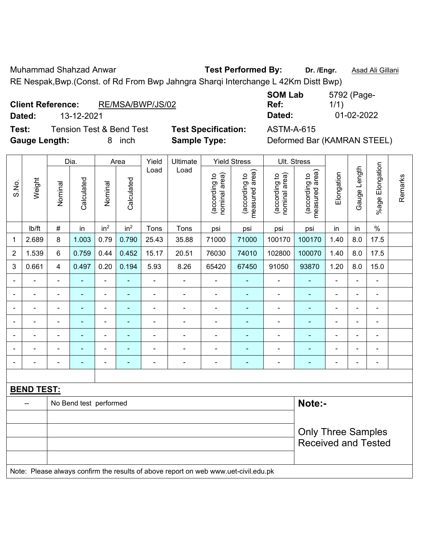Muhammad Shahzad Anwar **Test Performed By: Dr. /Engr.** Asad Ali Gillani RE Nespak,Bwp.(Const. of Rd From Bwp Jahngra Sharqi Interchange L 42Km Distt Bwp)

#### **Client Reference:** RE/MSA/BWP/JS/02

**Test:** Tension Test & Bend Test **Test Specification:** ASTM-A-615 Gauge Length: 8 inch **Sample Type:** Deformed Bar (KAMRAN STEEL)

**SOM Lab Ref:**  5792 (Page-1/1) **Dated:** 13-12-2021 **Dated:** 01-02-2022

|                          |                   |                | Dia.                   |                          | Area                     | Yield          | Ultimate       |                                | <b>Yield Stress</b>             |                                | Ult. Stress                     |                |                |                          |         |
|--------------------------|-------------------|----------------|------------------------|--------------------------|--------------------------|----------------|----------------|--------------------------------|---------------------------------|--------------------------------|---------------------------------|----------------|----------------|--------------------------|---------|
| S.No.                    | Weight            | Nominal        | Calculated             | Nominal                  | Calculated               | Load           | Load           | nominal area)<br>(according to | (according to<br>measured area) | nominal area)<br>(according to | measured area)<br>(according to | Elongation     | Gauge Length   | %age Elongation          | Remarks |
|                          | Ib/ft             | $\#$           | in                     | in <sup>2</sup>          | in <sup>2</sup>          | Tons           | Tons           | psi                            | psi                             | psi                            | psi                             | in             | in             | $\frac{0}{0}$            |         |
| 1                        | 2.689             | 8              | 1.003                  | 0.79                     | 0.790                    | 25.43          | 35.88          | 71000                          | 71000                           | 100170                         | 100170                          | 1.40           | 8.0            | 17.5                     |         |
| $\overline{2}$           | 1.539             | 6              | 0.759                  | 0.44                     | 0.452                    | 15.17          | 20.51          | 76030                          | 74010                           | 102800                         | 100070                          | 1.40           | 8.0            | 17.5                     |         |
| 3                        | 0.661             | $\overline{4}$ | 0.497                  | 0.20                     | 0.194                    | 5.93           | 8.26           | 65420                          | 67450                           | 91050                          | 93870                           | 1.20           | 8.0            | 15.0                     |         |
| $\overline{\phantom{0}}$ | $\blacksquare$    | $\blacksquare$ | $\blacksquare$         | $\overline{\phantom{a}}$ | $\overline{\phantom{a}}$ | $\blacksquare$ | $\blacksquare$ | $\blacksquare$                 | $\blacksquare$                  | $\blacksquare$                 | $\blacksquare$                  |                | $\blacksquare$ | $\blacksquare$           |         |
|                          |                   | $\blacksquare$ | $\blacksquare$         | $\blacksquare$           |                          |                |                | $\blacksquare$                 | $\overline{\phantom{a}}$        | $\blacksquare$                 | $\blacksquare$                  |                |                | $\blacksquare$           |         |
|                          |                   | $\blacksquare$ | $\blacksquare$         | ä,                       |                          |                | $\blacksquare$ | $\blacksquare$                 | $\blacksquare$                  | $\blacksquare$                 | ۰                               |                | $\blacksquare$ | $\blacksquare$           |         |
| $\blacksquare$           | $\blacksquare$    | $\blacksquare$ | $\blacksquare$         | $\overline{\phantom{a}}$ | $\blacksquare$           | $\blacksquare$ | $\blacksquare$ | $\blacksquare$                 | $\blacksquare$                  | $\blacksquare$                 | $\blacksquare$                  | $\blacksquare$ | $\blacksquare$ | $\overline{\phantom{a}}$ |         |
|                          |                   | $\blacksquare$ | ۰                      | $\overline{\phantom{a}}$ |                          |                |                | Ē,                             |                                 | ÷                              |                                 |                | ä,             | $\blacksquare$           |         |
|                          |                   |                |                        | ۰                        |                          |                |                |                                |                                 |                                |                                 |                |                |                          |         |
| $\blacksquare$           |                   | $\blacksquare$ | ۰                      | $\overline{\phantom{a}}$ | $\overline{\phantom{a}}$ |                | $\blacksquare$ | $\overline{\phantom{a}}$       | $\blacksquare$                  | $\qquad \qquad \blacksquare$   | ÷                               | $\blacksquare$ | $\blacksquare$ | $\blacksquare$           |         |
|                          |                   |                |                        |                          |                          |                |                |                                |                                 |                                |                                 |                |                |                          |         |
|                          | <b>BEND TEST:</b> |                |                        |                          |                          |                |                |                                |                                 |                                |                                 |                |                |                          |         |
|                          | --                |                | No Bend test performed |                          |                          |                |                |                                |                                 |                                | Note:-                          |                |                |                          |         |
|                          |                   |                |                        |                          |                          |                |                |                                |                                 |                                |                                 |                |                |                          |         |
|                          |                   |                |                        |                          |                          |                |                |                                |                                 |                                | <b>Only Three Samples</b>       |                |                |                          |         |
|                          |                   |                |                        |                          |                          |                |                |                                |                                 |                                | <b>Received and Tested</b>      |                |                |                          |         |
|                          |                   |                |                        |                          |                          |                |                |                                |                                 |                                |                                 |                |                |                          |         |

Note: Please always confirm the results of above report on web www.uet-civil.edu.pk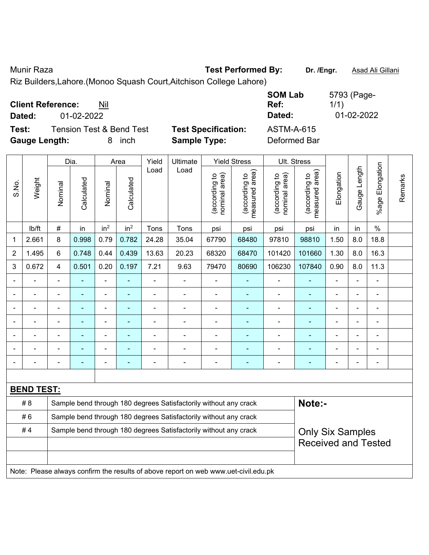Munir Raza **Test Performed By:** Dr. /Engr. **Asad Ali Gillani** 

Riz Builders,Lahore.(Monoo Squash Court,Aitchison College Lahore)

| <b>Client Reference:</b><br>Nil<br>01-02-2022<br>Dated:                           |                                                   | <b>SOM Lab</b><br>Ref:<br>Dated:  | 5793 (Page-<br>1/1)<br>01-02-2022 |
|-----------------------------------------------------------------------------------|---------------------------------------------------|-----------------------------------|-----------------------------------|
| <b>Tension Test &amp; Bend Test</b><br>Test:<br><b>Gauge Length:</b><br>inch<br>8 | <b>Test Specification:</b><br><b>Sample Type:</b> | <b>ASTM-A-615</b><br>Deformed Bar |                                   |

|                |                   |                | Dia.                                                             |                 | Area            | Yield | Ultimate                                                                            |                                | <b>Yield Stress</b>             |                                | Ult. Stress                     |                |                |                          |         |
|----------------|-------------------|----------------|------------------------------------------------------------------|-----------------|-----------------|-------|-------------------------------------------------------------------------------------|--------------------------------|---------------------------------|--------------------------------|---------------------------------|----------------|----------------|--------------------------|---------|
| S.No.          | Weight            | Nominal        | Calculated                                                       | Nominal         | Calculated      | Load  | Load                                                                                | nominal area)<br>(according to | (according to<br>measured area) | nominal area)<br>(according to | (according to<br>measured area) | Elongation     | Gauge Length   | Elongation<br>$%$ age I  | Remarks |
|                | lb/ft             | $\#$           | in                                                               | in <sup>2</sup> | in <sup>2</sup> | Tons  | Tons                                                                                | psi                            | psi                             | psi                            | psi                             | in             | in             | $\%$                     |         |
| 1              | 2.661             | 8              | 0.998                                                            | 0.79            | 0.782           | 24.28 | 35.04                                                                               | 67790                          | 68480                           | 97810                          | 98810                           | 1.50           | 8.0            | 18.8                     |         |
| $\overline{2}$ | 1.495             | 6              | 0.748                                                            | 0.44            | 0.439           | 13.63 | 20.23                                                                               | 68320                          | 68470                           | 101420                         | 101660                          | 1.30           | 8.0            | 16.3                     |         |
| 3              | 0.672             | $\overline{4}$ | 0.501                                                            | 0.20            | 0.197           | 7.21  | 9.63                                                                                | 79470                          | 80690                           | 106230                         | 107840                          | 0.90           | 8.0            | 11.3                     |         |
|                |                   | $\blacksquare$ | $\blacksquare$                                                   | $\blacksquare$  | $\blacksquare$  | ä,    | $\blacksquare$                                                                      | $\blacksquare$                 | $\blacksquare$                  | $\overline{\phantom{a}}$       | ÷                               | $\blacksquare$ | ä,             | $\blacksquare$           |         |
|                | $\blacksquare$    | $\blacksquare$ | ä,                                                               | $\blacksquare$  | $\blacksquare$  | ä,    | $\blacksquare$                                                                      | $\blacksquare$                 | $\blacksquare$                  | $\overline{\phantom{a}}$       | ÷                               | $\blacksquare$ | ÷,             | $\blacksquare$           |         |
|                | $\blacksquare$    | $\blacksquare$ | $\blacksquare$                                                   | $\blacksquare$  | $\blacksquare$  | ä,    | $\blacksquare$                                                                      | $\blacksquare$                 | $\blacksquare$                  | $\blacksquare$                 | ۰                               | ä,             | $\blacksquare$ | $\blacksquare$           |         |
|                |                   |                | $\blacksquare$                                                   | $\blacksquare$  |                 |       | $\blacksquare$                                                                      | $\blacksquare$                 | $\blacksquare$                  | $\blacksquare$                 | ۰                               |                | ä,             | $\blacksquare$           |         |
|                |                   |                |                                                                  |                 |                 |       |                                                                                     |                                |                                 |                                |                                 |                |                |                          |         |
|                |                   |                |                                                                  | ÷               |                 |       |                                                                                     | $\overline{\phantom{a}}$       |                                 | $\blacksquare$                 |                                 |                |                | L.                       |         |
| $\sim$         | -                 | $\blacksquare$ |                                                                  | ۰               | ٠               |       | $\blacksquare$                                                                      | $\overline{\phantom{0}}$       | $\overline{\phantom{0}}$        | ۰                              |                                 | $\blacksquare$ | -              | $\overline{\phantom{0}}$ |         |
|                |                   |                |                                                                  |                 |                 |       |                                                                                     |                                |                                 |                                |                                 |                |                |                          |         |
|                | <b>BEND TEST:</b> |                |                                                                  |                 |                 |       |                                                                                     |                                |                                 |                                |                                 |                |                |                          |         |
|                | # 8               |                |                                                                  |                 |                 |       | Sample bend through 180 degrees Satisfactorily without any crack                    |                                |                                 |                                | Note:-                          |                |                |                          |         |
|                | #6                |                | Sample bend through 180 degrees Satisfactorily without any crack |                 |                 |       |                                                                                     |                                |                                 |                                |                                 |                |                |                          |         |
|                | #4                |                |                                                                  |                 |                 |       | Sample bend through 180 degrees Satisfactorily without any crack                    |                                |                                 |                                | <b>Only Six Samples</b>         |                |                |                          |         |
|                |                   |                |                                                                  |                 |                 |       |                                                                                     |                                |                                 |                                | <b>Received and Tested</b>      |                |                |                          |         |
|                |                   |                |                                                                  |                 |                 |       |                                                                                     |                                |                                 |                                |                                 |                |                |                          |         |
|                |                   |                |                                                                  |                 |                 |       | Note: Please always confirm the results of above report on web www.uet-civil.edu.pk |                                |                                 |                                |                                 |                |                |                          |         |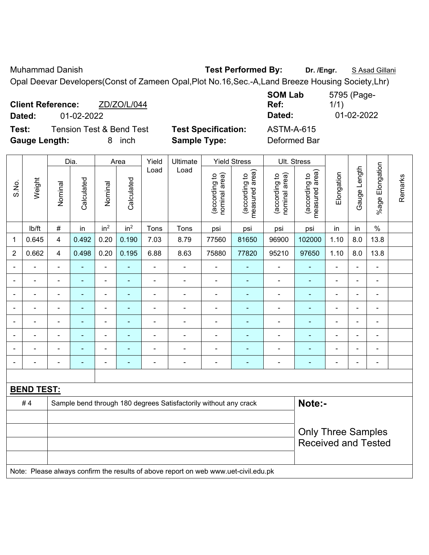Muhammad Danish **Test Performed By:** Dr. /Engr. *S* **Asad Gillani Test Performed By:** Dr. /Engr. *S Asad Gillani* 

Opal Deevar Developers(Const of Zameen Opal,Plot No.16,Sec.-A,Land Breeze Housing Society,Lhr)

| <b>Client Reference:</b><br>ZD/ZO/L/044<br>Dated:<br>01-02-2022 |                            | <b>SOM Lab</b><br>Ref:<br>Dated: | 5795 (Page-<br>1/1)<br>01-02-2022 |
|-----------------------------------------------------------------|----------------------------|----------------------------------|-----------------------------------|
| Test:<br><b>Tension Test &amp; Bend Test</b>                    | <b>Test Specification:</b> | <b>ASTM-A-615</b>                |                                   |
| <b>Gauge Length:</b><br>inch<br>8.                              | <b>Sample Type:</b>        | Deformed Bar                     |                                   |

|                          |                   |                | Dia.           |                          | Area                     | Yield                    | Ultimate                                                                            |                                | <b>Yield Stress</b>             |                                | Ult. Stress                     |                          |                |                 |         |
|--------------------------|-------------------|----------------|----------------|--------------------------|--------------------------|--------------------------|-------------------------------------------------------------------------------------|--------------------------------|---------------------------------|--------------------------------|---------------------------------|--------------------------|----------------|-----------------|---------|
| S.No.                    | Weight            | Nominal        | Calculated     | Nominal                  | Calculated               | Load                     | Load                                                                                | nominal area)<br>(according to | (according to<br>measured area) | nominal area)<br>(according to | (according to<br>measured area) | Elongation               | Gauge Length   | %age Elongation | Remarks |
|                          | lb/ft             | $\#$           | in             | in <sup>2</sup>          | in <sup>2</sup>          | Tons                     | Tons                                                                                | psi                            | psi                             | psi                            | psi                             | in                       | in             | $\%$            |         |
| 1                        | 0.645             | 4              | 0.492          | 0.20                     | 0.190                    | 7.03                     | 8.79                                                                                | 77560                          | 81650                           | 96900                          | 102000                          | 1.10                     | 8.0            | 13.8            |         |
| $\overline{2}$           | 0.662             | 4              | 0.498          | 0.20                     | 0.195                    | 6.88                     | 8.63                                                                                | 75880                          | 77820                           | 95210                          | 97650                           | 1.10                     | 8.0            | 13.8            |         |
| $\overline{\phantom{0}}$ | $\blacksquare$    |                | ٠              | $\blacksquare$           | $\blacksquare$           | $\blacksquare$           | $\blacksquare$                                                                      | $\overline{\phantom{0}}$       | ٠                               | $\blacksquare$                 | $\blacksquare$                  | $\blacksquare$           | $\overline{a}$ | $\blacksquare$  |         |
| $\blacksquare$           | Ē,                | $\blacksquare$ | $\blacksquare$ | $\overline{a}$           | $\blacksquare$           | L,                       | $\blacksquare$                                                                      | ÷,                             | $\blacksquare$                  | $\blacksquare$                 | ä,                              | $\blacksquare$           | ÷,             | $\blacksquare$  |         |
| ٠                        | ÷                 | $\blacksquare$ | ÷              | $\blacksquare$           | $\blacksquare$           | $\overline{\phantom{a}}$ | $\overline{\phantom{a}}$                                                            | $\blacksquare$                 | $\blacksquare$                  | $\blacksquare$                 | $\blacksquare$                  | $\overline{\phantom{a}}$ | $\frac{1}{2}$  | $\blacksquare$  |         |
|                          | Ē,                | $\blacksquare$ | $\blacksquare$ | $\blacksquare$           | $\overline{\phantom{a}}$ | $\blacksquare$           | $\blacksquare$                                                                      | $\blacksquare$                 | $\blacksquare$                  | $\blacksquare$                 | $\blacksquare$                  | ÷                        | $\blacksquare$ | $\blacksquare$  |         |
|                          | ä,                | $\blacksquare$ | ÷              | $\overline{\phantom{a}}$ | $\blacksquare$           | $\blacksquare$           | $\blacksquare$                                                                      | $\blacksquare$                 | $\blacksquare$                  | $\blacksquare$                 | $\blacksquare$                  | $\blacksquare$           | $\blacksquare$ | $\blacksquare$  |         |
|                          |                   |                | $\blacksquare$ | $\blacksquare$           | $\blacksquare$           |                          |                                                                                     | ä,                             | ä,                              | ä,                             |                                 |                          | ÷              | $\blacksquare$  |         |
|                          |                   |                |                | $\blacksquare$           |                          |                          |                                                                                     | ÷,                             |                                 | L.                             |                                 |                          | ÷              |                 |         |
| $\overline{\phantom{0}}$ | $\blacksquare$    |                | $\blacksquare$ | $\blacksquare$           | ٠                        | $\blacksquare$           | $\blacksquare$                                                                      | $\blacksquare$                 | $\blacksquare$                  | $\blacksquare$                 | $\blacksquare$                  | $\blacksquare$           | $\blacksquare$ | $\blacksquare$  |         |
|                          |                   |                |                |                          |                          |                          |                                                                                     |                                |                                 |                                |                                 |                          |                |                 |         |
|                          | <b>BEND TEST:</b> |                |                |                          |                          |                          |                                                                                     |                                |                                 |                                |                                 |                          |                |                 |         |
|                          | #4                |                |                |                          |                          |                          | Sample bend through 180 degrees Satisfactorily without any crack                    |                                |                                 |                                | Note:-                          |                          |                |                 |         |
|                          |                   |                |                |                          |                          |                          |                                                                                     |                                |                                 |                                |                                 |                          |                |                 |         |
|                          |                   |                |                |                          |                          |                          |                                                                                     |                                |                                 |                                | <b>Only Three Samples</b>       |                          |                |                 |         |
|                          |                   |                |                |                          |                          |                          |                                                                                     |                                |                                 |                                | <b>Received and Tested</b>      |                          |                |                 |         |
|                          |                   |                |                |                          |                          |                          | Note: Please always confirm the results of above report on web www.uet-civil.edu.pk |                                |                                 |                                |                                 |                          |                |                 |         |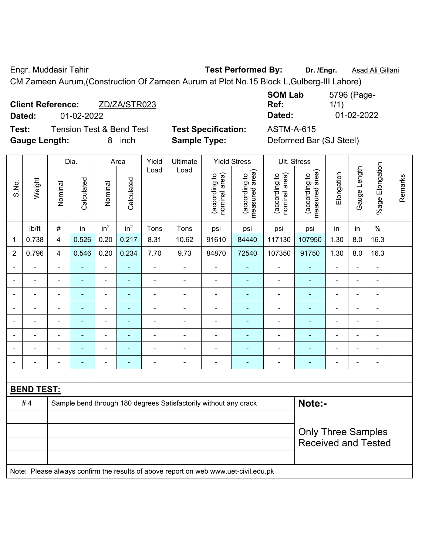Engr. Muddasir Tahir **Test Performed By:** Dr. /Engr. **Asad Ali Gillani** 

CM Zameen Aurum,(Construction Of Zameen Aurum at Plot No.15 Block L,Gulberg-III Lahore)

|        | <b>Client Reference:</b> | ZD/ZA/STR023                        |                            | Ref:       |
|--------|--------------------------|-------------------------------------|----------------------------|------------|
| Dated: | 01-02-2022               |                                     |                            | Dated:     |
| Test:  |                          | <b>Tension Test &amp; Bend Test</b> | <b>Test Specification:</b> | ASTM-A-615 |

**SOM Lab Ref:**  5796 (Page-1/1) **Dated:** 01-02-2022 **Dated:** 01-02-2022

**Deformed Bar (SJ Steel)** 

Ult. Stress

| <b>Gauge Length:</b> |        |         |            | 8               | inch            |       | <b>Sample Type:</b> |                                         |                                        |  |
|----------------------|--------|---------|------------|-----------------|-----------------|-------|---------------------|-----------------------------------------|----------------------------------------|--|
|                      |        |         | Dia.       |                 | Area            | Yield | Ultimate            |                                         | <b>Yield Stress</b>                    |  |
| S.No.                | Weight | Nominal | Calculated | Nominal         | Calculated      | Load  | Load                | area)<br>요<br>(according<br>nominal are | rea)<br>(according to<br>measured area |  |
|                      | lb/ft  | #       | in         | in <sup>2</sup> | in <sup>2</sup> | Tons  | Tons                | psi                                     | psi                                    |  |
|                      |        |         |            |                 |                 |       |                     |                                         |                                        |  |

|              |                                                                                     | Dia.<br>Area<br>Yield<br>Ultimate<br>Yield Stress<br>UII. Stress |                |                              |                 |                |                                                                  |                                |                                 |                                |                                             |                          |                |                 |         |
|--------------|-------------------------------------------------------------------------------------|------------------------------------------------------------------|----------------|------------------------------|-----------------|----------------|------------------------------------------------------------------|--------------------------------|---------------------------------|--------------------------------|---------------------------------------------|--------------------------|----------------|-----------------|---------|
| S.No.        | Weight                                                                              | Nominal                                                          | Calculated     | Nominal                      | Calculated      | Load           | Load                                                             | nominal area)<br>(according to | measured area)<br>(according to | (according to<br>nominal area) | (according to<br>neasured area)<br>measured | Elongation               | Gauge Length   | %age Elongation | Remarks |
|              | lb/ft                                                                               | $\#$                                                             | in             | in <sup>2</sup>              | in <sup>2</sup> | Tons           | Tons                                                             | psi                            | psi                             | psi                            | psi                                         | in                       | in             | $\%$            |         |
| $\mathbf{1}$ | 0.738                                                                               | $\overline{\mathbf{4}}$                                          | 0.526          | 0.20                         | 0.217           | 8.31           | 10.62                                                            | 91610                          | 84440                           | 117130                         | 107950                                      | 1.30                     | 8.0            | 16.3            |         |
| $\sqrt{2}$   | 0.796                                                                               | $\overline{\mathbf{4}}$                                          | 0.546          | 0.20                         | 0.234           | 7.70           | 9.73                                                             | 84870                          | 72540                           | 107350                         | 91750                                       | 1.30                     | 8.0            | 16.3            |         |
|              |                                                                                     | $\blacksquare$                                                   |                | $\blacksquare$               | ä,              |                | $\blacksquare$                                                   | $\blacksquare$                 |                                 |                                | ٠                                           | L,                       | L.             | $\blacksquare$  |         |
|              |                                                                                     |                                                                  |                |                              |                 |                |                                                                  | $\blacksquare$                 |                                 |                                | ۰                                           | ÷                        |                | ۰               |         |
|              |                                                                                     | ٠                                                                | $\blacksquare$ | $\blacksquare$               | ۰               | $\blacksquare$ | $\overline{\phantom{a}}$                                         | $\blacksquare$                 | ۰                               | $\blacksquare$                 | $\qquad \qquad \blacksquare$                | ÷                        | $\blacksquare$ | $\blacksquare$  |         |
|              | $\blacksquare$                                                                      | $\blacksquare$                                                   | ۰              | $\qquad \qquad \blacksquare$ | ۰               | $\blacksquare$ | $\blacksquare$                                                   | Ξ.                             | ٠                               | $\blacksquare$                 | ۰                                           | $\overline{\phantom{0}}$ | ÷              | $\blacksquare$  |         |
|              |                                                                                     |                                                                  | ÷,             | $\blacksquare$               | ÷               |                | $\blacksquare$                                                   | $\blacksquare$                 | $\overline{\phantom{0}}$        |                                | ٠                                           | Ĭ.                       | ä,             | $\blacksquare$  |         |
|              |                                                                                     |                                                                  | $\blacksquare$ | $\blacksquare$               | $\blacksquare$  |                | $\overline{a}$                                                   | $\blacksquare$                 | ÷                               | $\blacksquare$                 | $\blacksquare$                              | ÷                        | $\blacksquare$ | $\blacksquare$  |         |
|              |                                                                                     |                                                                  |                |                              |                 |                |                                                                  |                                |                                 |                                |                                             | Ē,                       |                | $\blacksquare$  |         |
|              |                                                                                     |                                                                  | ۰              | ۰                            | ۰               | $\blacksquare$ | $\overline{\phantom{a}}$                                         | $\blacksquare$                 | ٠                               |                                | ۰                                           | ۰                        | $\blacksquare$ | -               |         |
|              |                                                                                     |                                                                  |                |                              |                 |                |                                                                  |                                |                                 |                                |                                             |                          |                |                 |         |
|              | <b>BEND TEST:</b>                                                                   |                                                                  |                |                              |                 |                |                                                                  |                                |                                 |                                |                                             |                          |                |                 |         |
|              | #4                                                                                  |                                                                  |                |                              |                 |                | Sample bend through 180 degrees Satisfactorily without any crack |                                |                                 |                                | Note:-                                      |                          |                |                 |         |
|              |                                                                                     |                                                                  |                |                              |                 |                |                                                                  |                                |                                 |                                |                                             |                          |                |                 |         |
|              |                                                                                     |                                                                  |                |                              |                 |                |                                                                  |                                |                                 |                                | <b>Only Three Samples</b>                   |                          |                |                 |         |
|              |                                                                                     | <b>Received and Tested</b>                                       |                |                              |                 |                |                                                                  |                                |                                 |                                |                                             |                          |                |                 |         |
|              |                                                                                     |                                                                  |                |                              |                 |                |                                                                  |                                |                                 |                                |                                             |                          |                |                 |         |
|              | Note: Please always confirm the results of above report on web www.uet-civil.edu.pk |                                                                  |                |                              |                 |                |                                                                  |                                |                                 |                                |                                             |                          |                |                 |         |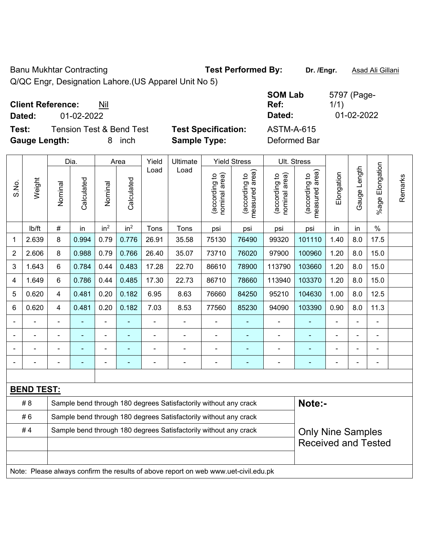Banu Mukhtar Contracting **Test Performed By:** Dr. /Engr. **Asad Ali Gillani** 

Q/QC Engr, Designation Lahore.(US Apparel Unit No 5)

| <b>Client Reference:</b> | Nil |
|--------------------------|-----|
|--------------------------|-----|

**Test:** Tension Test & Bend Test **Test Specification:** ASTM-A-615 **Gauge Length:** 8 inch **Sample Type:** Deformed Bar

**SOM Lab Ref:**  5797 (Page-1/1) **Dated:** 01-02-2022 **Dated:** 01-02-2022

|                |                   |                         | Dia.       | Area            |                 | Yield | Ultimate                                                                            |                                | <b>Yield Stress</b>             | Ult. Stress                    |                                 |            |              |                       |         |
|----------------|-------------------|-------------------------|------------|-----------------|-----------------|-------|-------------------------------------------------------------------------------------|--------------------------------|---------------------------------|--------------------------------|---------------------------------|------------|--------------|-----------------------|---------|
| S.No.          | Weight            | Nominal                 | Calculated | Nominal         | Calculated      | Load  | Load                                                                                | nominal area)<br>(according to | (according to<br>measured area) | nominal area)<br>(according to | (according to<br>measured area) | Elongation | Gauge Length | Elongation<br>$%$ age | Remarks |
|                | lb/ft             | $\#$                    | in         | in <sup>2</sup> | in <sup>2</sup> | Tons  | Tons                                                                                | psi                            | psi                             | psi                            | psi                             | in         | in           | $\%$                  |         |
| 1              | 2.639             | 8                       | 0.994      | 0.79            | 0.776           | 26.91 | 35.58                                                                               | 75130                          | 76490                           | 99320                          | 101110                          | 1.40       | 8.0          | 17.5                  |         |
| $\overline{2}$ | 2.606             | 8                       | 0.988      | 0.79            | 0.766           | 26.40 | 35.07                                                                               | 73710                          | 76020                           | 97900                          | 100960                          | 1.20       | 8.0          | 15.0                  |         |
| 3              | 1.643             | 6                       | 0.784      | 0.44            | 0.483           | 17.28 | 22.70                                                                               | 86610                          | 78900                           | 113790                         | 103660                          | 1.20       | 8.0          | 15.0                  |         |
| 4              | 1.649             | 6                       | 0.786      | 0.44            | 0.485           | 17.30 | 22.73                                                                               | 86710                          | 78660                           | 113940                         | 103370                          | 1.20       | 8.0          | 15.0                  |         |
| 5              | 0.620             | 4                       | 0.481      | 0.20            | 0.182           | 6.95  | 8.63                                                                                | 76660                          | 84250                           | 95210                          | 104630                          | 1.00       | 8.0          | 12.5                  |         |
| 6              | 0.620             | $\overline{\mathbf{4}}$ | 0.481      | 0.20            | 0.182           | 7.03  | 8.53                                                                                | 77560                          | 85230                           | 94090                          | 103390                          | 0.90       | 8.0          | 11.3                  |         |
|                |                   |                         |            | $\overline{a}$  |                 |       |                                                                                     | $\blacksquare$                 | ä,                              | $\blacksquare$                 |                                 |            |              |                       |         |
|                |                   |                         |            | $\blacksquare$  |                 |       |                                                                                     |                                |                                 |                                |                                 |            |              |                       |         |
|                |                   |                         |            | ÷               |                 |       |                                                                                     | ٠                              | ۰                               | $\blacksquare$                 | $\overline{\phantom{0}}$        |            |              | $\blacksquare$        |         |
|                |                   |                         |            | $\blacksquare$  | ÷               |       | $\blacksquare$                                                                      | $\overline{a}$                 | ۰                               | -                              |                                 |            |              | $\blacksquare$        |         |
|                |                   |                         |            |                 |                 |       |                                                                                     |                                |                                 |                                |                                 |            |              |                       |         |
|                | <b>BEND TEST:</b> |                         |            |                 |                 |       |                                                                                     |                                |                                 |                                |                                 |            |              |                       |         |
|                | # 8               |                         |            |                 |                 |       | Sample bend through 180 degrees Satisfactorily without any crack                    |                                |                                 |                                | Note:-                          |            |              |                       |         |
|                | #6                |                         |            |                 |                 |       | Sample bend through 180 degrees Satisfactorily without any crack                    |                                |                                 |                                |                                 |            |              |                       |         |
|                | #4                |                         |            |                 |                 |       | Sample bend through 180 degrees Satisfactorily without any crack                    |                                |                                 |                                | <b>Only Nine Samples</b>        |            |              |                       |         |
|                |                   |                         |            |                 |                 |       |                                                                                     |                                |                                 |                                | <b>Received and Tested</b>      |            |              |                       |         |
|                |                   |                         |            |                 |                 |       |                                                                                     |                                |                                 |                                |                                 |            |              |                       |         |
|                |                   |                         |            |                 |                 |       | Note: Please always confirm the results of above report on web www.uet-civil.edu.pk |                                |                                 |                                |                                 |            |              |                       |         |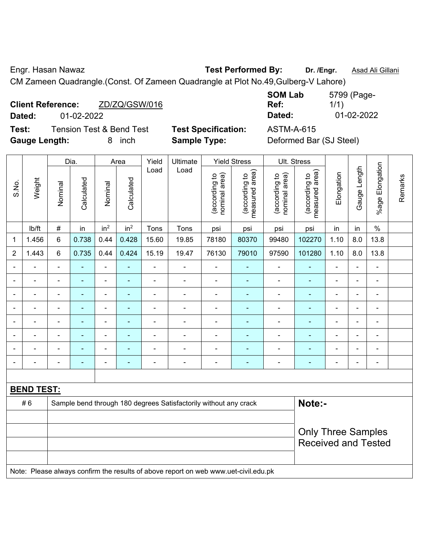Engr. Hasan Nawaz **Test Performed By: Dr. /Engr.** Asad Ali Gillani

CM Zameen Quadrangle.(Const. Of Zameen Quadrangle at Plot No.49,Gulberg-V Lahore)

|        | <b>Client Reference:</b> | ZD/ZQ/GSW/016            |
|--------|--------------------------|--------------------------|
| Dated: | 01-02-2022               |                          |
| T-1.   |                          | Tensian Test 0 Dand Test |

**SOM Lab Ref:**  5799 (Page-1/1) **Dated:** 01-02-2022 **Dated:** 01-02-2022

**Test:** Tension Test & Bend Test **Test Specification:** ASTM-A-615 **Gauge Length:** 8 inch **Sample Type:** Deformed Bar (SJ Steel)

|                |                            |                | Dia.           |                          | Area            | Yield          | Ultimate                                                                            |                                | <b>Yield Stress</b>             |                                | Ult. Stress                     |                |                          |                         |         |
|----------------|----------------------------|----------------|----------------|--------------------------|-----------------|----------------|-------------------------------------------------------------------------------------|--------------------------------|---------------------------------|--------------------------------|---------------------------------|----------------|--------------------------|-------------------------|---------|
| S.No.          | Weight                     | Nominal        | Calculated     | Nominal                  | Calculated      | Load           | Load                                                                                | nominal area)<br>(according to | (according to<br>measured area) | nominal area)<br>(according to | measured area)<br>(according to | Elongation     | Gauge Length             | Elongation<br>$%$ age I | Remarks |
|                | lb/ft                      | $\#$           | in             | in <sup>2</sup>          | in <sup>2</sup> | Tons           | Tons                                                                                | psi                            | psi                             | psi                            | psi                             | in             | in                       | $\%$                    |         |
| 1              | 1.456                      | 6              | 0.738          | 0.44                     | 0.428           | 15.60          | 19.85                                                                               | 78180                          | 80370                           | 99480                          | 102270                          | 1.10           | 8.0                      | 13.8                    |         |
| $\overline{2}$ | 1.443                      | 6              | 0.735          | 0.44                     | 0.424           | 15.19          | 19.47                                                                               | 76130                          | 79010                           | 97590                          | 101280                          | 1.10           | 8.0                      | 13.8                    |         |
| $\blacksquare$ | ä,                         | $\blacksquare$ | $\blacksquare$ | ÷,                       | ä,              | ä,             | ä,                                                                                  | $\blacksquare$                 | $\blacksquare$                  | $\qquad \qquad \blacksquare$   | $\blacksquare$                  | $\blacksquare$ | ä,                       | $\blacksquare$          |         |
| $\blacksquare$ | $\blacksquare$             | $\blacksquare$ | ٠              | $\overline{\phantom{0}}$ | $\blacksquare$  | ä,             | $\frac{1}{2}$                                                                       | $\overline{\phantom{a}}$       | $\blacksquare$                  | $\qquad \qquad \blacksquare$   | $\blacksquare$                  | $\blacksquare$ | $\blacksquare$           | $\blacksquare$          |         |
| $\blacksquare$ | $\blacksquare$             | $\blacksquare$ | $\blacksquare$ | $\blacksquare$           | $\blacksquare$  | ä,             | $\blacksquare$                                                                      | $\blacksquare$                 | $\blacksquare$                  | $\qquad \qquad \blacksquare$   | $\blacksquare$                  | ÷              | $\blacksquare$           | $\blacksquare$          |         |
|                | $\blacksquare$             | ä,             | $\blacksquare$ | ÷,                       | ä,              | L,             | ä,                                                                                  | $\blacksquare$                 | ä,                              | ÷,                             | $\blacksquare$                  | ÷              | $\blacksquare$           | ä,                      |         |
|                |                            |                | $\blacksquare$ | $\blacksquare$           | ٠               |                | $\blacksquare$                                                                      | $\blacksquare$                 | $\blacksquare$                  | $\blacksquare$                 | $\blacksquare$                  |                | $\overline{\phantom{0}}$ | $\blacksquare$          |         |
|                |                            | $\blacksquare$ |                | $\blacksquare$           |                 | L,             | ÷                                                                                   | Ē,                             |                                 | Ē,                             |                                 |                | $\overline{\phantom{0}}$ | ÷                       |         |
| $\blacksquare$ | $\blacksquare$             | $\blacksquare$ | -              | $\overline{a}$           | ٠               | $\blacksquare$ | ÷                                                                                   | $\qquad \qquad \blacksquare$   | $\overline{\phantom{0}}$        | $\overline{a}$                 | $\overline{\phantom{0}}$        | ۰              | $\blacksquare$           | $\overline{a}$          |         |
| $\blacksquare$ | $\blacksquare$             | $\blacksquare$ | $\blacksquare$ | ÷,                       | $\blacksquare$  | ä,             | $\blacksquare$                                                                      | $\overline{\phantom{a}}$       | $\blacksquare$                  | $\qquad \qquad \blacksquare$   | $\blacksquare$                  | $\blacksquare$ | $\blacksquare$           | $\blacksquare$          |         |
|                |                            |                |                |                          |                 |                |                                                                                     |                                |                                 |                                |                                 |                |                          |                         |         |
|                | <b>BEND TEST:</b>          |                |                |                          |                 |                |                                                                                     |                                |                                 |                                |                                 |                |                          |                         |         |
|                | #6                         |                |                |                          |                 |                | Sample bend through 180 degrees Satisfactorily without any crack                    |                                |                                 |                                | Note:-                          |                |                          |                         |         |
|                |                            |                |                |                          |                 |                |                                                                                     |                                |                                 |                                |                                 |                |                          |                         |         |
|                |                            |                |                |                          |                 |                |                                                                                     |                                |                                 |                                | <b>Only Three Samples</b>       |                |                          |                         |         |
|                | <b>Received and Tested</b> |                |                |                          |                 |                |                                                                                     |                                |                                 |                                |                                 |                |                          |                         |         |
|                |                            |                |                |                          |                 |                | Note: Please always confirm the results of above report on web www.uet-civil.edu.pk |                                |                                 |                                |                                 |                |                          |                         |         |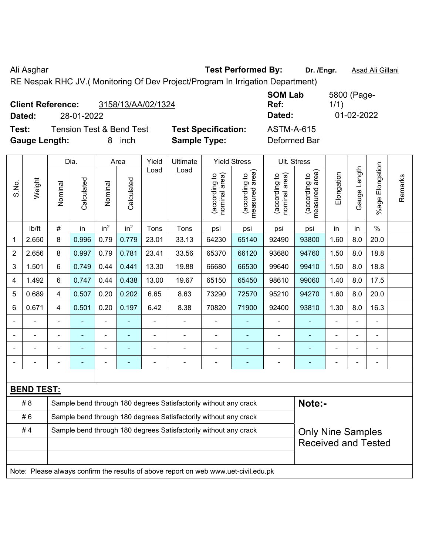Ali Asghar **Test Performed By:** Dr. /Engr. **Asad Ali Gillani** Ali Asghar **Asad Ali Gillani** 

RE Nespak RHC JV.( Monitoring Of Dev Project/Program In Irrigation Department)

| <b>Client Reference:</b><br>28-01-2022<br>Dated: | 3158/13/AA/02/1324                  |                            | <b>SOM Lab</b><br>Ref:<br>Dated: | 5800 (Page-<br>1/1)<br>01-02-2022 |
|--------------------------------------------------|-------------------------------------|----------------------------|----------------------------------|-----------------------------------|
| Test:                                            | <b>Tension Test &amp; Bend Test</b> | <b>Test Specification:</b> | ASTM-A-615                       |                                   |
| <b>Gauge Length:</b>                             | inch                                | <b>Sample Type:</b>        | Deformed Bar                     |                                   |

|                |                   |                | Dia.           |                 | Area                     |       | Ultimate                                                                            |                                | <b>Yield Stress</b>             |                                | Ult. Stress                     |            |                |                       |         |  |
|----------------|-------------------|----------------|----------------|-----------------|--------------------------|-------|-------------------------------------------------------------------------------------|--------------------------------|---------------------------------|--------------------------------|---------------------------------|------------|----------------|-----------------------|---------|--|
| S.No.          | Weight            | Nominal        | Calculated     | Nominal         | Calculated               | Load  | Load                                                                                | nominal area)<br>(according to | (according to<br>measured area) | nominal area)<br>(according to | (according to<br>measured area) | Elongation | Gauge Length   | Elongation<br>$%$ age | Remarks |  |
|                | lb/ft             | $\#$           | in             | in <sup>2</sup> | in <sup>2</sup>          | Tons  | Tons                                                                                | psi                            | psi                             | psi                            | psi                             | in         | in             | $\%$                  |         |  |
| 1              | 2.650             | 8              | 0.996          | 0.79            | 0.779                    | 23.01 | 33.13                                                                               | 64230                          | 65140                           | 92490                          | 93800                           | 1.60       | 8.0            | 20.0                  |         |  |
| $\overline{2}$ | 2.656             | 8              | 0.997          | 0.79            | 0.781                    | 23.41 | 33.56                                                                               | 65370                          | 66120                           | 93680                          | 94760                           | 1.50       | 8.0            | 18.8                  |         |  |
| 3              | 1.501             | $6\phantom{1}$ | 0.749          | 0.44            | 0.441                    | 13.30 | 19.88                                                                               | 66680                          | 66530                           | 99640                          | 99410                           | 1.50       | 8.0            | 18.8                  |         |  |
| $\overline{4}$ | 1.492             | 6              | 0.747          | 0.44            | 0.438                    | 13.00 | 19.67                                                                               | 65150                          | 65450                           | 98610                          | 99060                           | 1.40       | 8.0            | 17.5                  |         |  |
| 5              | 0.689             | $\overline{4}$ | 0.507          | 0.20            | 0.202                    | 6.65  | 8.63                                                                                | 73290                          | 72570                           | 95210                          | 94270                           | 1.60       | 8.0            | 20.0                  |         |  |
| 6              | 0.671             | $\overline{4}$ | 0.501          | 0.20            | 0.197                    | 6.42  | 8.38                                                                                | 70820                          | 71900                           | 92400                          | 93810                           | 1.30       | 8.0            | 16.3                  |         |  |
|                |                   |                |                | $\overline{a}$  |                          |       |                                                                                     | ä,                             |                                 | ä,                             |                                 |            |                |                       |         |  |
|                |                   |                | $\blacksquare$ | $\blacksquare$  |                          |       |                                                                                     |                                |                                 |                                |                                 |            | ۰              | $\blacksquare$        |         |  |
|                |                   |                |                |                 |                          |       |                                                                                     |                                |                                 | $\overline{\phantom{0}}$       |                                 |            |                |                       |         |  |
|                |                   |                |                | $\blacksquare$  | $\overline{\phantom{a}}$ |       | $\blacksquare$                                                                      | ÷                              | $\overline{\phantom{0}}$        | ۰                              |                                 | ÷          | $\blacksquare$ | $\blacksquare$        |         |  |
|                |                   |                |                |                 |                          |       |                                                                                     |                                |                                 |                                |                                 |            |                |                       |         |  |
|                | <b>BEND TEST:</b> |                |                |                 |                          |       |                                                                                     |                                |                                 |                                |                                 |            |                |                       |         |  |
|                | #8                |                |                |                 |                          |       | Sample bend through 180 degrees Satisfactorily without any crack                    |                                |                                 |                                | Note:-                          |            |                |                       |         |  |
|                | #6                |                |                |                 |                          |       | Sample bend through 180 degrees Satisfactorily without any crack                    |                                |                                 |                                |                                 |            |                |                       |         |  |
|                | #4                |                |                |                 |                          |       | Sample bend through 180 degrees Satisfactorily without any crack                    |                                |                                 |                                | <b>Only Nine Samples</b>        |            |                |                       |         |  |
|                |                   |                |                |                 |                          |       |                                                                                     |                                |                                 |                                | <b>Received and Tested</b>      |            |                |                       |         |  |
|                |                   |                |                |                 |                          |       |                                                                                     |                                |                                 |                                |                                 |            |                |                       |         |  |
|                |                   |                |                |                 |                          |       | Note: Please always confirm the results of above report on web www.uet-civil.edu.pk |                                |                                 |                                |                                 |            |                |                       |         |  |